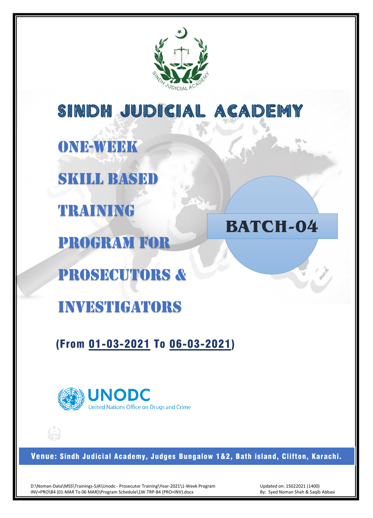

SINDH JUDICIAL ACADEMY

ONE-WEEK

SKILL BASED

TRAINING

PROGRAM FOR

PROSECUTORs &

investigators

(From 01-03-2021 To 06-03-2021)



Venue: Sindh Judicial Academy, Judges Bungalow 1&2, Bath island, Clifton, Karachi.

D:\Noman-Data\MSS\Trainings-SJA\Unodc - Prosecutor Training\Year-2021\1-Week Program INV+PRO\B4 (01-MAR To 06 MAR)\Program Schedule\1W-TRP-B4 (PRO+INV).docx

Updated on: 15022021 (1400) By: Syed Noman Shah & Saqib Abbasi

**BATCH-04**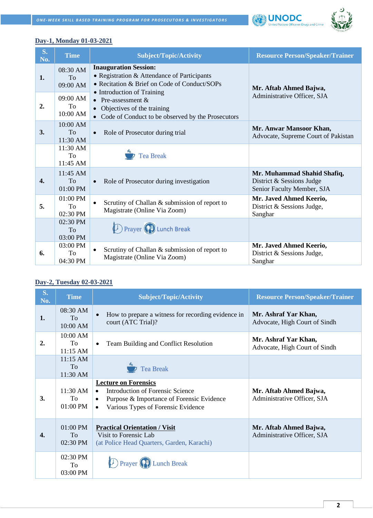



#### **Day-1, Monday 01-03-2021**

| $S_{\bullet}$<br>No. | <b>Time</b>                  | <b>Subject/Topic/Activity</b>                                                                                                                             | <b>Resource Person/Speaker/Trainer</b>                                                 |
|----------------------|------------------------------|-----------------------------------------------------------------------------------------------------------------------------------------------------------|----------------------------------------------------------------------------------------|
| 1.                   | 08:30 AM<br>To<br>09:00 AM   | <b>Inauguration Session:</b><br>• Registration & Attendance of Participants<br>• Recitation & Brief on Code of Conduct/SOPs<br>• Introduction of Training | Mr. Aftab Ahmed Bajwa,                                                                 |
| 2.                   | 09:00 AM<br>To.<br>10:00 AM  | • Pre-assessment $&$<br>• Objectives of the training<br>Code of Conduct to be observed by the Prosecutors                                                 | Administrative Officer, SJA                                                            |
| 3.                   | 10:00 AM<br>To<br>11:30 AM   | Role of Prosecutor during trial                                                                                                                           | Mr. Anwar Mansoor Khan,<br>Advocate, Supreme Court of Pakistan                         |
|                      | 11:30 AM<br>To<br>11:45 AM   | <b>Tea Break</b>                                                                                                                                          |                                                                                        |
| 4.                   | $11:45$ AM<br>To<br>01:00 PM | Role of Prosecutor during investigation                                                                                                                   | Mr. Muhammad Shahid Shafiq,<br>District & Sessions Judge<br>Senior Faculty Member, SJA |
| 5.                   | $01:00$ PM<br>To<br>02:30 PM | Scrutiny of Challan & submission of report to<br>$\bullet$<br>Magistrate (Online Via Zoom)                                                                | Mr. Javed Ahmed Keerio,<br>District & Sessions Judge,<br>Sanghar                       |
|                      | 02:30 PM<br>To<br>03:00 PM   | <b>D</b> Prayer <b>C</b> Lunch Break                                                                                                                      |                                                                                        |
| 6.                   | 03:00 PM<br>To<br>04:30 PM   | Scrutiny of Challan & submission of report to<br>Magistrate (Online Via Zoom)                                                                             | Mr. Javed Ahmed Keerio,<br>District & Sessions Judge,<br>Sanghar                       |

#### **Day-2, Tuesday 02-03-2021**

| <b>S.</b><br>No. | <b>Time</b>                  | <b>Subject/Topic/Activity</b>                                                                                                                                                                    | <b>Resource Person/Speaker/Trainer</b>                |
|------------------|------------------------------|--------------------------------------------------------------------------------------------------------------------------------------------------------------------------------------------------|-------------------------------------------------------|
| 1.               | 08:30 AM<br>To<br>10:00 AM   | How to prepare a witness for recording evidence in<br>$\bullet$<br>court (ATC Trial)?                                                                                                            | Mr. Ashraf Yar Khan,<br>Advocate, High Court of Sindh |
| 2.               | 10:00 AM<br>To<br>$11:15$ AM | Team Building and Conflict Resolution<br>$\bullet$                                                                                                                                               | Mr. Ashraf Yar Khan,<br>Advocate, High Court of Sindh |
|                  | $11:15$ AM<br>To<br>11:30 AM | Tea Break                                                                                                                                                                                        |                                                       |
| 3.               | $11:30$ AM<br>To<br>01:00 PM | <b>Lecture on Forensics</b><br><b>Introduction of Forensic Science</b><br>$\bullet$<br>Purpose & Importance of Forensic Evidence<br>$\bullet$<br>Various Types of Forensic Evidence<br>$\bullet$ | Mr. Aftab Ahmed Bajwa,<br>Administrative Officer, SJA |
| 4.               | $01:00$ PM<br>To<br>02:30 PM | <b>Practical Orientation / Visit</b><br>Visit to Forensic Lab<br>(at Police Head Quarters, Garden, Karachi)                                                                                      | Mr. Aftab Ahmed Bajwa,<br>Administrative Officer, SJA |
|                  | 02:30 PM<br>To<br>03:00 PM   | <b>Lunch Break</b>                                                                                                                                                                               |                                                       |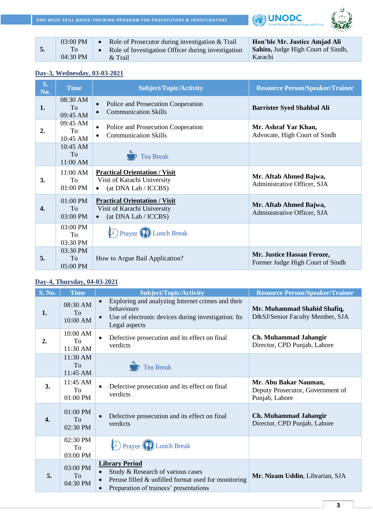**ONE-WEEK SKILL BASED TRAINING PROGRAM FOR PROSECUTORS & INVESTIGATORS** 





|  | 03:00 PM<br>04:30 PM | Role of Prosecutor during investigation & Trail<br>Role of Investigation Officer during investigation<br>$&$ Trail | Hon'ble Mr. Justice Amjad Ali<br><b>Sahito, Judge High Court of Sindh,</b><br>Karachi |
|--|----------------------|--------------------------------------------------------------------------------------------------------------------|---------------------------------------------------------------------------------------|
|--|----------------------|--------------------------------------------------------------------------------------------------------------------|---------------------------------------------------------------------------------------|

#### **Day-3, Wednesday, 03-03-2021**

| $S_{\bullet}$<br>No. | <b>Time</b>                       | <b>Subject/Topic/Activity</b>                                                                            | <b>Resource Person/Speaker/Trainer</b>                         |
|----------------------|-----------------------------------|----------------------------------------------------------------------------------------------------------|----------------------------------------------------------------|
| 1.                   | 08:30 AM<br><b>To</b><br>09:45 AM | Police and Prosecution Cooperation<br>$\bullet$<br><b>Communication Skills</b>                           | <b>Barrister Syed Shahbal Ali</b>                              |
| 2.                   | 09:45 AM<br>To.<br>10:45 AM       | Police and Prosecution Cooperation<br>$\bullet$<br><b>Communication Skills</b><br>$\bullet$              | Mr. Ashraf Yar Khan,<br>Advocate, High Court of Sindh          |
|                      | $10:45$ AM<br>To<br>11:00 AM      | <b>Tea Break</b>                                                                                         |                                                                |
| 3.                   | 11:00 AM<br>To<br>$01:00$ PM      | <b>Practical Orientation / Visit</b><br>Visit of Karachi University<br>$\bullet$ (at DNA Lab / ICCBS)    | Mr. Aftab Ahmed Bajwa,<br>Administrative Officer, SJA          |
| 4.                   | 01:00 PM<br>To<br>03:00 PM        | <b>Practical Orientation / Visit</b><br>Visit of Karachi University<br>(at DNA Lab / ICCBS)<br>$\bullet$ | Mr. Aftab Ahmed Bajwa,<br>Administrative Officer, SJA          |
|                      | 03:00 PM<br>To<br>03:30 PM        | <b>D</b> Prayer (P) Lunch Break                                                                          |                                                                |
| 5.                   | 03:30 PM<br>To<br>05:00 PM        | How to Argue Bail Application?                                                                           | Mr. Justice Hassan Feroze,<br>Former Judge High Court of Sindh |

### **Day-4, Thursday, 04-03-2021**

| <b>S. No.</b>    | <b>Time</b>                       | <b>Subject/Topic/Activity</b>                                                                                                                                  | <b>Resource Person/Speaker/Trainer</b>                                      |
|------------------|-----------------------------------|----------------------------------------------------------------------------------------------------------------------------------------------------------------|-----------------------------------------------------------------------------|
| 1.               | 08:30 AM<br>To<br>10:00 AM        | Exploring and analyzing Internet crimes and their<br>behaviours<br>Use of electronic devices during investigation: Its<br>Legal aspects                        | Mr. Muhammad Shahid Shafiq,<br>D&SJ/Senior Faculty Member, SJA              |
| 2.               | 10:00 AM<br>To<br>11:30 AM        | Defective prosecution and its effect on final<br>verdicts                                                                                                      | Ch. Muhammad Jahangir<br>Director, CPD Punjab, Lahore                       |
|                  | 11:30 AM<br><b>To</b><br>11:45 AM | <b>Tea Break</b>                                                                                                                                               |                                                                             |
| 3.               | 11:45 AM<br>To<br>01:00 PM        | Defective prosecution and its effect on final<br>verdicts                                                                                                      | Mr. Abu Bakar Nauman,<br>Deputy Prosecutor, Government of<br>Punjab, Lahore |
| $\overline{4}$ . | 01:00 PM<br>To<br>02:30 PM        | Defective prosecution and its effect on final<br>verdicts                                                                                                      | Ch. Muhammad Jahangir<br>Director, CPD Punjab, Lahore                       |
|                  | 02:30 PM<br>To<br>03:00 PM        | <b>D</b> Prayer (P) Lunch Break                                                                                                                                |                                                                             |
| 5.               | 03:00 PM<br>To<br>04:30 PM        | <b>Library Period</b><br>Study & Research of various cases<br>Peruse filled $\&$ unfilled format used for monitoring<br>Preparation of trainees' presentations | Mr. Nizam Uddin, Librarian, SJA                                             |